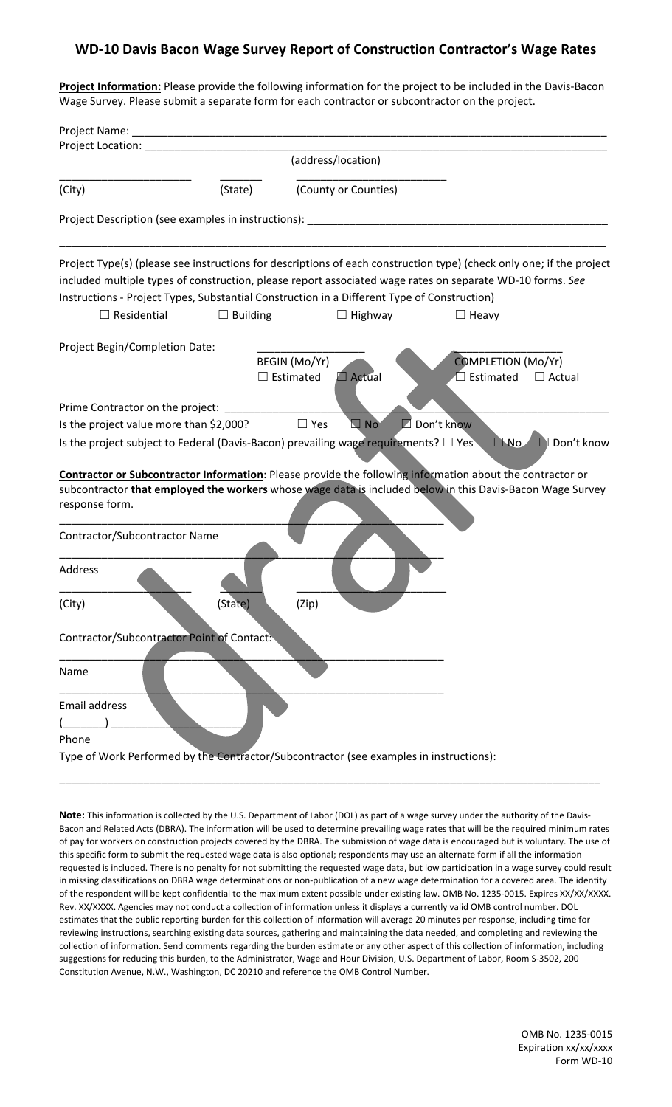## **WD-10 Davis Bacon Wage Survey Report of Construction Contractor's Wage Rates**

**Project Information:** Please provide the following information for the project to be included in the Davis-Bacon Wage Survey. Please submit a separate form for each contractor or subcontractor on the project.

| Project Name:                                                                                                                                                                                                                     |                 |                                                    |                      |                                            |
|-----------------------------------------------------------------------------------------------------------------------------------------------------------------------------------------------------------------------------------|-----------------|----------------------------------------------------|----------------------|--------------------------------------------|
| Project Location:                                                                                                                                                                                                                 |                 |                                                    |                      |                                            |
|                                                                                                                                                                                                                                   |                 | (address/location)                                 |                      |                                            |
| (City)                                                                                                                                                                                                                            | (State)         | (County or Counties)                               |                      |                                            |
| Project Description (see examples in instructions):                                                                                                                                                                               |                 |                                                    |                      |                                            |
| Project Type(s) (please see instructions for descriptions of each construction type) (check only one; if the project<br>included multiple types of construction, please report associated wage rates on separate WD-10 forms. See |                 |                                                    |                      |                                            |
| Instructions - Project Types, Substantial Construction in a Different Type of Construction)                                                                                                                                       |                 |                                                    |                      |                                            |
| $\Box$ Residential                                                                                                                                                                                                                | $\Box$ Building | $\Box$ Highway                                     | $\Box$ Heavy         |                                            |
| Project Begin/Completion Date:                                                                                                                                                                                                    |                 |                                                    |                      |                                            |
|                                                                                                                                                                                                                                   |                 | BEGIN (Mo/Yr)<br>$\Box$ Estimated<br>$\Box$ Actual | Estimated            | <b>COMPLETION (Mo/Yr)</b><br>$\Box$ Actual |
|                                                                                                                                                                                                                                   |                 |                                                    |                      |                                            |
| Prime Contractor on the project:                                                                                                                                                                                                  |                 |                                                    |                      |                                            |
| Is the project value more than \$2,000?                                                                                                                                                                                           |                 | $\Box$ Yes<br>$\Box$ No                            | $\square$ Don't know |                                            |
| Is the project subject to Federal (Davis-Bacon) prevailing wage requirements? $\square$ Yes                                                                                                                                       |                 |                                                    |                      | Don't know<br><b>NO</b>                    |
|                                                                                                                                                                                                                                   |                 |                                                    |                      |                                            |
| <b>Contractor or Subcontractor Information:</b> Please provide the following information about the contractor or                                                                                                                  |                 |                                                    |                      |                                            |
| subcontractor that employed the workers whose wage data is included below in this Davis-Bacon Wage Survey                                                                                                                         |                 |                                                    |                      |                                            |
| response form.                                                                                                                                                                                                                    |                 |                                                    |                      |                                            |
|                                                                                                                                                                                                                                   |                 |                                                    |                      |                                            |
| Contractor/Subcontractor Name                                                                                                                                                                                                     |                 |                                                    |                      |                                            |
| Address                                                                                                                                                                                                                           |                 |                                                    |                      |                                            |
|                                                                                                                                                                                                                                   |                 |                                                    |                      |                                            |
| (City)                                                                                                                                                                                                                            | (State)         | (Zip)                                              |                      |                                            |
|                                                                                                                                                                                                                                   |                 |                                                    |                      |                                            |
| Contractor/Subcontractor Point of Contact:                                                                                                                                                                                        |                 |                                                    |                      |                                            |
|                                                                                                                                                                                                                                   |                 |                                                    |                      |                                            |
| Name                                                                                                                                                                                                                              |                 |                                                    |                      |                                            |
| <b>Email address</b>                                                                                                                                                                                                              |                 |                                                    |                      |                                            |
|                                                                                                                                                                                                                                   |                 |                                                    |                      |                                            |
| Phone                                                                                                                                                                                                                             |                 |                                                    |                      |                                            |
| Type of Work Performed by the Contractor/Subcontractor (see examples in instructions):                                                                                                                                            |                 |                                                    |                      |                                            |
|                                                                                                                                                                                                                                   |                 |                                                    |                      |                                            |

**Note:** This information is collected by the U.S. Department of Labor (DOL) as part of a wage survey under the authority of the Davis-Bacon and Related Acts (DBRA). The information will be used to determine prevailing wage rates that will be the required minimum rates of pay for workers on construction projects covered by the DBRA. The submission of wage data is encouraged but is voluntary. The use of this specific form to submit the requested wage data is also optional; respondents may use an alternate form if all the information requested is included. There is no penalty for not submitting the requested wage data, but low participation in a wage survey could result in missing classifications on DBRA wage determinations or non-publication of a new wage determination for a covered area. The identity of the respondent will be kept confidential to the maximum extent possible under existing law. OMB No. 1235-0015. Expires XX/XX/XXXX. Rev. XX/XXXX. Agencies may not conduct a collection of information unless it displays a currently valid OMB control number. DOL estimates that the public reporting burden for this collection of information will average 20 minutes per response, including time for reviewing instructions, searching existing data sources, gathering and maintaining the data needed, and completing and reviewing the collection of information. Send comments regarding the burden estimate or any other aspect of this collection of information, including suggestions for reducing this burden, to the Administrator, Wage and Hour Division, U.S. Department of Labor, Room S-3502, 200 Constitution Avenue, N.W., Washington, DC 20210 and reference the OMB Control Number.

\_\_\_\_\_\_\_\_\_\_\_\_\_\_\_\_\_\_\_\_\_\_\_\_\_\_\_\_\_\_\_\_\_\_\_\_\_\_\_\_\_\_\_\_\_\_\_\_\_\_\_\_\_\_\_\_\_\_\_\_\_\_\_\_\_\_\_\_\_\_\_\_\_\_\_\_\_\_\_\_\_\_\_\_\_\_\_\_\_\_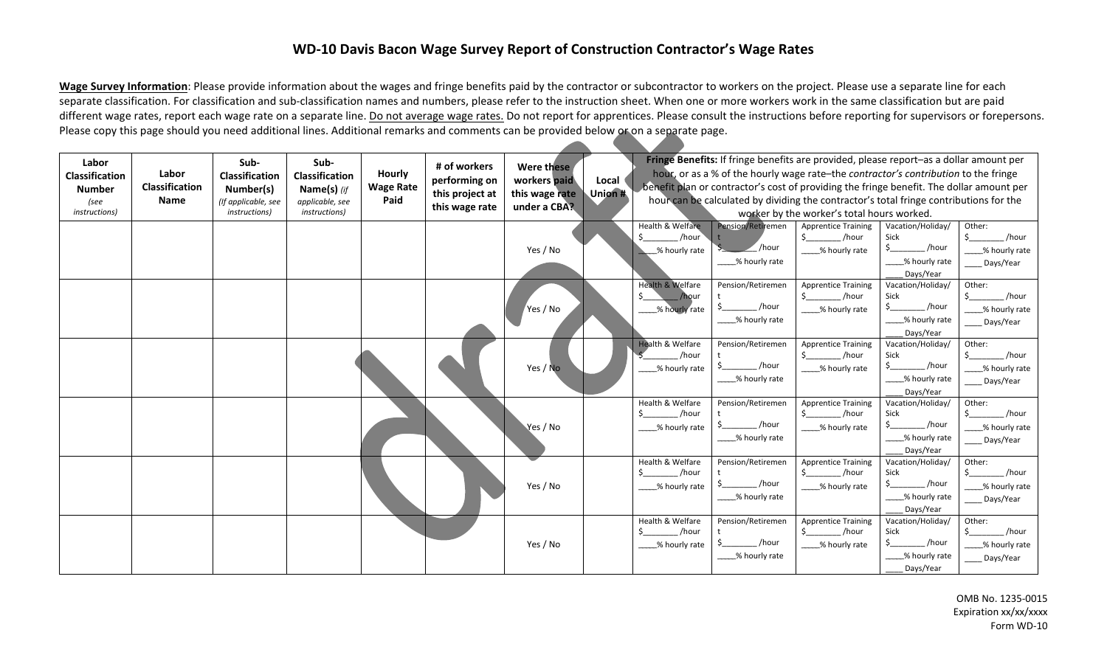## **WD-10 Davis Bacon Wage Survey Report of Construction Contractor's Wage Rates**

Wage Survey Information: Please provide information about the wages and fringe benefits paid by the contractor or subcontractor to workers on the project. Please use a separate line for each separate classification. For classification and sub-classification names and numbers, please refer to the instruction sheet. When one or more workers work in the same classification but are paid different wage rates, report each wage rate on a separate line. Do not average wage rates. Do not report for apprentices. Please consult the instructions before reporting for supervisors or forepersons. Please copy this page should you need additional lines. Additional remarks and comments can be provided below or on a separate page.

 $\overline{\phantom{a}}$ 

| Labor<br>Classification<br><b>Number</b><br>(see<br>instructions) | Labor<br>Classification<br>Name | Sub-<br>Classification<br>Number(s)<br>(If applicable, see<br><i>instructions)</i> | Sub-<br><b>Classification</b><br>Name(s) $(f)$<br>applicable, see<br><i>instructions</i> ) | <b>Hourly</b><br><b>Wage Rate</b><br>Paid | # of workers<br>performing on<br>this project at<br>this wage rate | Were these<br>workers paid<br>this wage rate<br>under a CBA? | Local<br>Union # |                                                                      |                                                        | Fringe Benefits: If fringe benefits are provided, please report-as a dollar amount per<br>hour, or as a % of the hourly wage rate-the contractor's contribution to the fringe<br>benefit plan or contractor's cost of providing the fringe benefit. The dollar amount per<br>hour can be calculated by dividing the contractor's total fringe contributions for the<br>worker by the worker's total hours worked. |                                                                                                                     |                                                                                                |
|-------------------------------------------------------------------|---------------------------------|------------------------------------------------------------------------------------|--------------------------------------------------------------------------------------------|-------------------------------------------|--------------------------------------------------------------------|--------------------------------------------------------------|------------------|----------------------------------------------------------------------|--------------------------------------------------------|-------------------------------------------------------------------------------------------------------------------------------------------------------------------------------------------------------------------------------------------------------------------------------------------------------------------------------------------------------------------------------------------------------------------|---------------------------------------------------------------------------------------------------------------------|------------------------------------------------------------------------------------------------|
|                                                                   |                                 |                                                                                    |                                                                                            |                                           |                                                                    | Yes / No                                                     |                  | Health & Welfare<br>/hour<br>% hourly rate                           | Pension/Retiremen<br>$\angle$ /hour<br>__% hourly rate | <b>Apprentice Training</b><br>$\sharp$ and $\sharp$<br>/hour<br>____% hourly rate                                                                                                                                                                                                                                                                                                                                 | Vacation/Holiday/<br>Sick<br>$\mathsf{S}$ , and the set of $\mathsf{S}$<br>_/hour<br>____% hourly rate<br>Days/Year | Other:<br>/hour<br>$\mathsf{S}$ , and the set of $\mathsf{S}$<br>___% hourly rate<br>Days/Year |
|                                                                   |                                 |                                                                                    |                                                                                            |                                           |                                                                    | Yes / No                                                     |                  | <b>Health &amp; Welfare</b><br>$\blacksquare$ /hour<br>% hourly rate | Pension/Retiremen<br>Ś.<br>/hour<br>% hourly rate      | <b>Apprentice Training</b><br>_/hour<br>% hourly rate                                                                                                                                                                                                                                                                                                                                                             | Vacation/Holiday/<br>Sick<br>/hour<br>____% hourly rate<br>Days/Year                                                | Other:<br>/hour<br>\$<br>____% hourly rate<br>____ Days/Year                                   |
|                                                                   |                                 |                                                                                    |                                                                                            |                                           |                                                                    | Yes / No                                                     |                  | <b>Health &amp; Welfare</b><br>/hour<br>% hourly rate                | Pension/Retiremen<br>/hour<br>___% hourly rate         | <b>Apprentice Training</b><br>/hour<br>\$<br>____% hourly rate                                                                                                                                                                                                                                                                                                                                                    | Vacation/Holiday/<br>Sick<br>_/hour<br>____% hourly rate<br>Days/Year                                               | Other:<br>/hour<br>\$<br>% hourly rate<br>____ Days/Year                                       |
|                                                                   |                                 |                                                                                    |                                                                                            |                                           |                                                                    | Yes / No                                                     |                  | Health & Welfare<br>Ś.<br>/hour<br>_% hourly rate                    | Pension/Retiremen<br>/hour<br>__% hourly rate          | <b>Apprentice Training</b><br>Ś.<br>/hour<br>____% hourly rate                                                                                                                                                                                                                                                                                                                                                    | Vacation/Holiday/<br>Sick<br>$\frac{1}{\sqrt{2}}$ /hour<br>% hourly rate<br>Days/Year                               | Other:<br>/hour<br>$\mathsf{S}$<br>% hourly rate<br>___ Days/Year                              |
|                                                                   |                                 |                                                                                    |                                                                                            |                                           |                                                                    | Yes / No                                                     |                  | Health & Welfare<br>/hour<br>__% hourly rate                         | Pension/Retiremen<br>/hour<br>% hourly rate            | <b>Apprentice Training</b><br>$\frac{1}{2}$<br>/hour<br>____% hourly rate                                                                                                                                                                                                                                                                                                                                         | Vacation/Holiday/<br>Sick<br>_/hour<br>____% hourly rate<br>Days/Year                                               | Other:<br>$_{\rm -}$ /hour<br>\$.<br>% hourly rate<br>Days/Year                                |
|                                                                   |                                 |                                                                                    |                                                                                            |                                           |                                                                    | Yes / No                                                     |                  | Health & Welfare<br>/hour<br>_% hourly rate                          | Pension/Retiremen<br>/hour<br>_% hourly rate           | <b>Apprentice Training</b><br>$$$ /hour<br>____% hourly rate                                                                                                                                                                                                                                                                                                                                                      | Vacation/Holiday/<br>Sick<br>_/hour<br>____% hourly rate<br>Days/Year                                               | Other:<br>/hour<br>_% hourly rate<br>Days/Year                                                 |

OMB No. 1235-0015 Expiration xx/xx/xxxx Form WD-10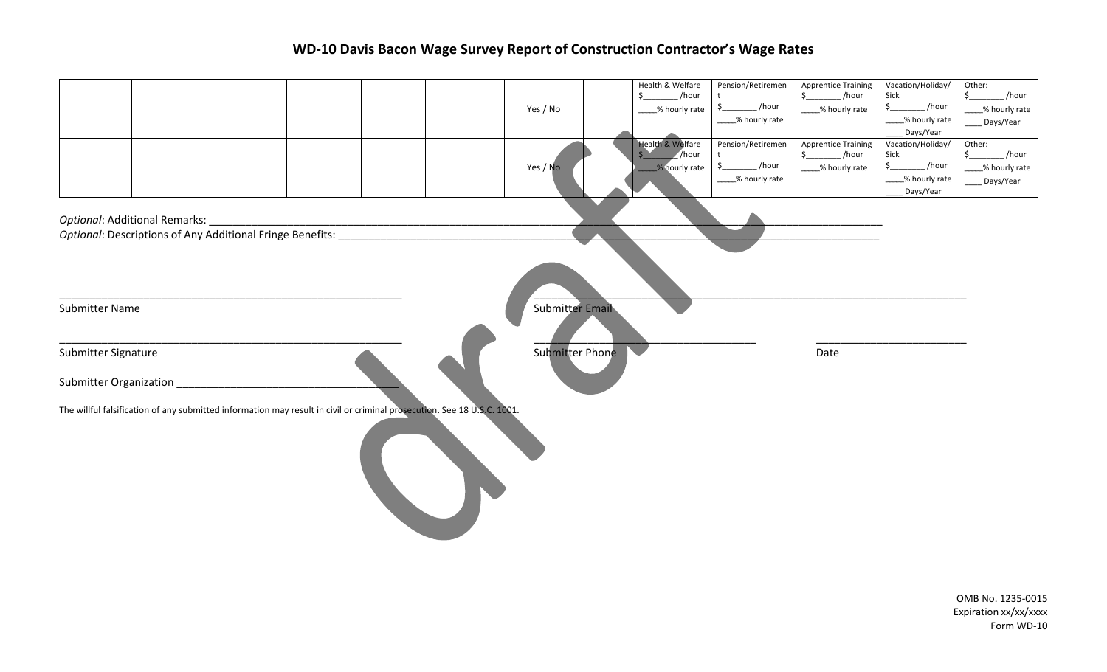## **WD-10 Davis Bacon Wage Survey Report of Construction Contractor's Wage Rates**

|                                                                                                                         |  |  | Yes / No               | Health & Welfare<br>$\frac{1}{2}$ /hour<br>____% hourly rate |                                  | Pension/Retiremen<br>t<br>$$$ ______________/hour<br>___% hourly rate | <b>Apprentice Training</b><br>$\frac{1}{2}$ /hour<br>___% hourly rate | Vacation/Holiday/<br>Sick<br>$\frac{1}{2}$<br>$\_$ /hour<br>% hourly rate<br>Days/Year                           | Other:<br>$_{\rm -}$ /hour<br>$\frac{1}{2}$<br>__% hourly rate<br>_Days/Year |
|-------------------------------------------------------------------------------------------------------------------------|--|--|------------------------|--------------------------------------------------------------|----------------------------------|-----------------------------------------------------------------------|-----------------------------------------------------------------------|------------------------------------------------------------------------------------------------------------------|------------------------------------------------------------------------------|
|                                                                                                                         |  |  | Yes / No               | Health & Welfare                                             | $\sqrt{}$ /hour<br>% hourly rate | Pension/Retiremen<br>t<br>$\frac{1}{2}$<br>/hour<br>____% hourly rate | <b>Apprentice Training</b><br>$$$ /hour<br>___% hourly rate           | Vacation/Holiday/<br>Sick<br>$\mathsf{S}_{\underline{\phantom{A}}}%$<br>_/hour<br>____% hourly rate<br>Days/Year | Other:<br>$\zeta$<br>/hour<br>___% hourly rate<br>_Days/Year                 |
| Optional: Additional Remarks:<br>Optional: Descriptions of Any Additional Fringe Benefits:                              |  |  |                        |                                                              |                                  |                                                                       |                                                                       |                                                                                                                  |                                                                              |
| Submitter Name                                                                                                          |  |  | <b>Submitter Email</b> |                                                              |                                  |                                                                       |                                                                       |                                                                                                                  |                                                                              |
| Submitter Signature<br>Submitter Organization                                                                           |  |  | Submitter Phone        |                                                              |                                  |                                                                       | Date                                                                  |                                                                                                                  |                                                                              |
| The willful falsification of any submitted information may result in civil or criminal prosecution. See 18 U.S.C. 1001. |  |  |                        |                                                              |                                  |                                                                       |                                                                       |                                                                                                                  |                                                                              |
|                                                                                                                         |  |  |                        |                                                              |                                  |                                                                       |                                                                       |                                                                                                                  | OMB No. 1235-0015<br>Expiration xx/xx/xxxx                                   |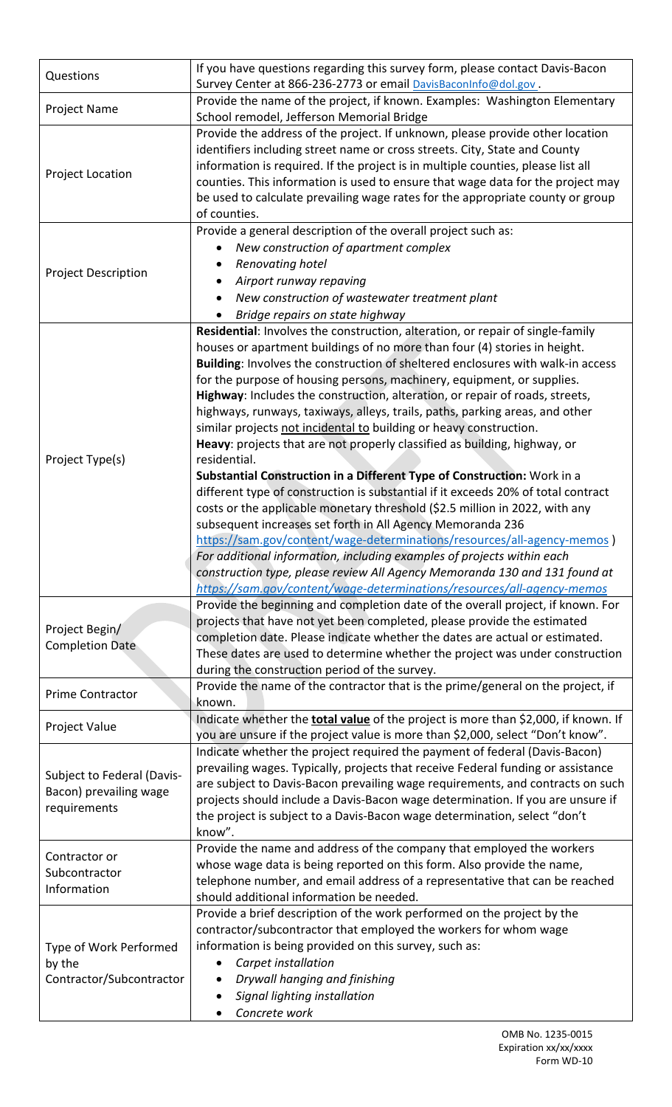| Questions                                                            | If you have questions regarding this survey form, please contact Davis-Bacon<br>Survey Center at 866-236-2773 or email DavisBaconInfo@dol.gov.                                                                                                                                                                                                                                                                                                                                                                                                                                                                                                                                                                                                                                                                                                                                                                                                                                                                                                                                                                                                                                                                                                                                         |
|----------------------------------------------------------------------|----------------------------------------------------------------------------------------------------------------------------------------------------------------------------------------------------------------------------------------------------------------------------------------------------------------------------------------------------------------------------------------------------------------------------------------------------------------------------------------------------------------------------------------------------------------------------------------------------------------------------------------------------------------------------------------------------------------------------------------------------------------------------------------------------------------------------------------------------------------------------------------------------------------------------------------------------------------------------------------------------------------------------------------------------------------------------------------------------------------------------------------------------------------------------------------------------------------------------------------------------------------------------------------|
| Project Name                                                         | Provide the name of the project, if known. Examples: Washington Elementary<br>School remodel, Jefferson Memorial Bridge                                                                                                                                                                                                                                                                                                                                                                                                                                                                                                                                                                                                                                                                                                                                                                                                                                                                                                                                                                                                                                                                                                                                                                |
| Project Location                                                     | Provide the address of the project. If unknown, please provide other location<br>identifiers including street name or cross streets. City, State and County<br>information is required. If the project is in multiple counties, please list all<br>counties. This information is used to ensure that wage data for the project may<br>be used to calculate prevailing wage rates for the appropriate county or group<br>of counties.                                                                                                                                                                                                                                                                                                                                                                                                                                                                                                                                                                                                                                                                                                                                                                                                                                                   |
| <b>Project Description</b>                                           | Provide a general description of the overall project such as:<br>New construction of apartment complex<br>Renovating hotel<br>Airport runway repaving<br>New construction of wastewater treatment plant<br>$\bullet$<br>Bridge repairs on state highway                                                                                                                                                                                                                                                                                                                                                                                                                                                                                                                                                                                                                                                                                                                                                                                                                                                                                                                                                                                                                                |
| Project Type(s)                                                      | Residential: Involves the construction, alteration, or repair of single-family<br>houses or apartment buildings of no more than four (4) stories in height.<br>Building: Involves the construction of sheltered enclosures with walk-in access<br>for the purpose of housing persons, machinery, equipment, or supplies.<br>Highway: Includes the construction, alteration, or repair of roads, streets,<br>highways, runways, taxiways, alleys, trails, paths, parking areas, and other<br>similar projects not incidental to building or heavy construction.<br>Heavy: projects that are not properly classified as building, highway, or<br>residential.<br>Substantial Construction in a Different Type of Construction: Work in a<br>different type of construction is substantial if it exceeds 20% of total contract<br>costs or the applicable monetary threshold (\$2.5 million in 2022, with any<br>subsequent increases set forth in All Agency Memoranda 236<br>https://sam.gov/content/wage-determinations/resources/all-agency-memos )<br>For additional information, including examples of projects within each<br>construction type, please review All Agency Memoranda 130 and 131 found at<br>https://sam.gov/content/wage-determinations/resources/all-agency-memos |
| Project Begin/<br><b>Completion Date</b>                             | Provide the beginning and completion date of the overall project, if known. For<br>projects that have not yet been completed, please provide the estimated<br>completion date. Please indicate whether the dates are actual or estimated.<br>These dates are used to determine whether the project was under construction<br>during the construction period of the survey.                                                                                                                                                                                                                                                                                                                                                                                                                                                                                                                                                                                                                                                                                                                                                                                                                                                                                                             |
| Prime Contractor                                                     | Provide the name of the contractor that is the prime/general on the project, if<br>known.                                                                                                                                                                                                                                                                                                                                                                                                                                                                                                                                                                                                                                                                                                                                                                                                                                                                                                                                                                                                                                                                                                                                                                                              |
| Project Value                                                        | Indicate whether the <b>total value</b> of the project is more than \$2,000, if known. If<br>you are unsure if the project value is more than \$2,000, select "Don't know".                                                                                                                                                                                                                                                                                                                                                                                                                                                                                                                                                                                                                                                                                                                                                                                                                                                                                                                                                                                                                                                                                                            |
| Subject to Federal (Davis-<br>Bacon) prevailing wage<br>requirements | Indicate whether the project required the payment of federal (Davis-Bacon)<br>prevailing wages. Typically, projects that receive Federal funding or assistance<br>are subject to Davis-Bacon prevailing wage requirements, and contracts on such<br>projects should include a Davis-Bacon wage determination. If you are unsure if<br>the project is subject to a Davis-Bacon wage determination, select "don't<br>know".                                                                                                                                                                                                                                                                                                                                                                                                                                                                                                                                                                                                                                                                                                                                                                                                                                                              |
| Contractor or<br>Subcontractor<br>Information                        | Provide the name and address of the company that employed the workers<br>whose wage data is being reported on this form. Also provide the name,<br>telephone number, and email address of a representative that can be reached<br>should additional information be needed.                                                                                                                                                                                                                                                                                                                                                                                                                                                                                                                                                                                                                                                                                                                                                                                                                                                                                                                                                                                                             |
| Type of Work Performed<br>by the<br>Contractor/Subcontractor         | Provide a brief description of the work performed on the project by the<br>contractor/subcontractor that employed the workers for whom wage<br>information is being provided on this survey, such as:<br>Carpet installation<br>٠<br>Drywall hanging and finishing<br>Signal lighting installation<br>Concrete work                                                                                                                                                                                                                                                                                                                                                                                                                                                                                                                                                                                                                                                                                                                                                                                                                                                                                                                                                                    |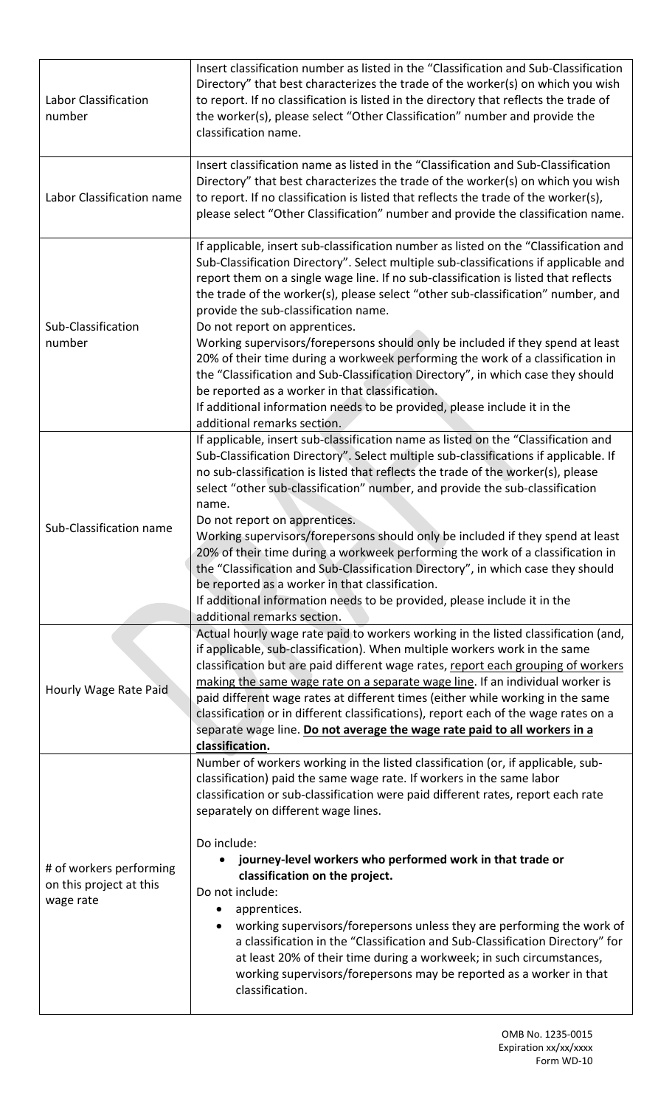| Labor Classification<br>number                                  | Insert classification number as listed in the "Classification and Sub-Classification<br>Directory" that best characterizes the trade of the worker(s) on which you wish<br>to report. If no classification is listed in the directory that reflects the trade of<br>the worker(s), please select "Other Classification" number and provide the<br>classification name.                                                                                                                                                                                                                                                                                                                                                                                                                                                                                 |  |  |  |  |
|-----------------------------------------------------------------|--------------------------------------------------------------------------------------------------------------------------------------------------------------------------------------------------------------------------------------------------------------------------------------------------------------------------------------------------------------------------------------------------------------------------------------------------------------------------------------------------------------------------------------------------------------------------------------------------------------------------------------------------------------------------------------------------------------------------------------------------------------------------------------------------------------------------------------------------------|--|--|--|--|
| Labor Classification name                                       | Insert classification name as listed in the "Classification and Sub-Classification<br>Directory" that best characterizes the trade of the worker(s) on which you wish<br>to report. If no classification is listed that reflects the trade of the worker(s),<br>please select "Other Classification" number and provide the classification name.                                                                                                                                                                                                                                                                                                                                                                                                                                                                                                       |  |  |  |  |
| Sub-Classification<br>number                                    | If applicable, insert sub-classification number as listed on the "Classification and<br>Sub-Classification Directory". Select multiple sub-classifications if applicable and<br>report them on a single wage line. If no sub-classification is listed that reflects<br>the trade of the worker(s), please select "other sub-classification" number, and<br>provide the sub-classification name.<br>Do not report on apprentices.<br>Working supervisors/forepersons should only be included if they spend at least<br>20% of their time during a workweek performing the work of a classification in<br>the "Classification and Sub-Classification Directory", in which case they should<br>be reported as a worker in that classification.<br>If additional information needs to be provided, please include it in the<br>additional remarks section. |  |  |  |  |
| Sub-Classification name                                         | If applicable, insert sub-classification name as listed on the "Classification and<br>Sub-Classification Directory". Select multiple sub-classifications if applicable. If<br>no sub-classification is listed that reflects the trade of the worker(s), please<br>select "other sub-classification" number, and provide the sub-classification<br>name.<br>Do not report on apprentices.<br>Working supervisors/forepersons should only be included if they spend at least<br>20% of their time during a workweek performing the work of a classification in<br>the "Classification and Sub-Classification Directory", in which case they should<br>be reported as a worker in that classification.<br>If additional information needs to be provided, please include it in the<br>additional remarks section.                                         |  |  |  |  |
| Hourly Wage Rate Paid                                           | Actual hourly wage rate paid to workers working in the listed classification (and,<br>if applicable, sub-classification). When multiple workers work in the same<br>classification but are paid different wage rates, report each grouping of workers<br>making the same wage rate on a separate wage line. If an individual worker is<br>paid different wage rates at different times (either while working in the same<br>classification or in different classifications), report each of the wage rates on a<br>separate wage line. Do not average the wage rate paid to all workers in a<br>classification.                                                                                                                                                                                                                                        |  |  |  |  |
| # of workers performing<br>on this project at this<br>wage rate | Number of workers working in the listed classification (or, if applicable, sub-<br>classification) paid the same wage rate. If workers in the same labor<br>classification or sub-classification were paid different rates, report each rate<br>separately on different wage lines.<br>Do include:<br>journey-level workers who performed work in that trade or<br>classification on the project.<br>Do not include:<br>apprentices.<br>working supervisors/forepersons unless they are performing the work of<br>a classification in the "Classification and Sub-Classification Directory" for<br>at least 20% of their time during a workweek; in such circumstances,<br>working supervisors/forepersons may be reported as a worker in that<br>classification.                                                                                      |  |  |  |  |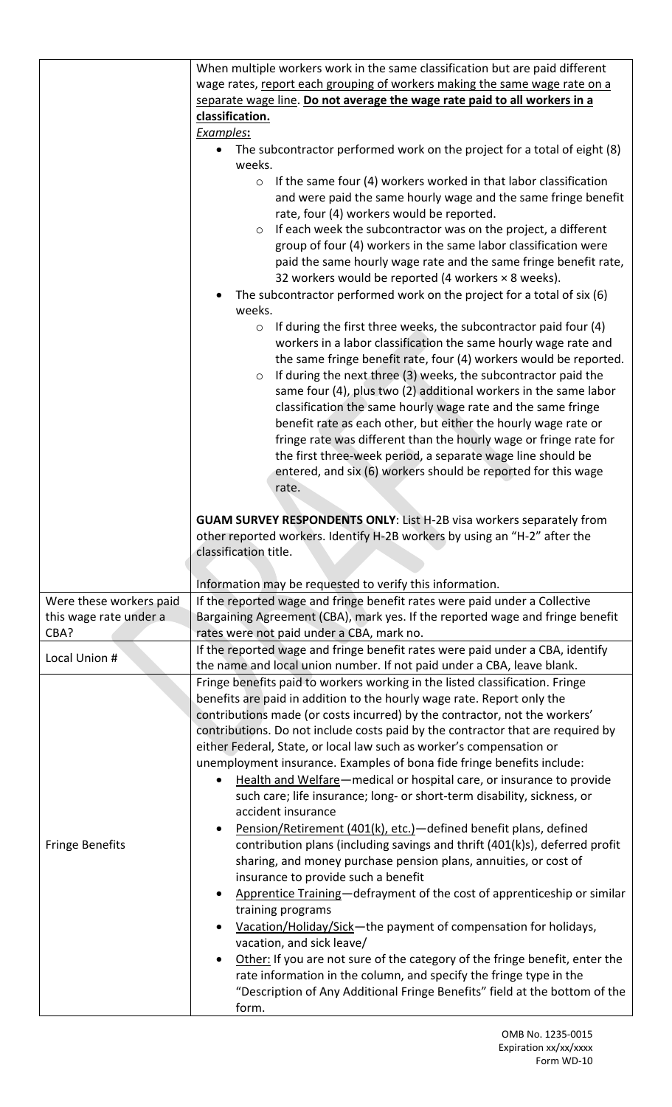|                         | When multiple workers work in the same classification but are paid different        |
|-------------------------|-------------------------------------------------------------------------------------|
|                         | wage rates, report each grouping of workers making the same wage rate on a          |
|                         | separate wage line. Do not average the wage rate paid to all workers in a           |
|                         |                                                                                     |
|                         | classification.                                                                     |
|                         | Examples:                                                                           |
|                         | The subcontractor performed work on the project for a total of eight (8)            |
|                         | weeks.                                                                              |
|                         | If the same four (4) workers worked in that labor classification<br>$\circ$         |
|                         | and were paid the same hourly wage and the same fringe benefit                      |
|                         | rate, four (4) workers would be reported.                                           |
|                         | If each week the subcontractor was on the project, a different<br>$\circ$           |
|                         | group of four (4) workers in the same labor classification were                     |
|                         | paid the same hourly wage rate and the same fringe benefit rate,                    |
|                         | 32 workers would be reported (4 workers $\times$ 8 weeks).                          |
|                         | The subcontractor performed work on the project for a total of six (6)              |
|                         | weeks.                                                                              |
|                         |                                                                                     |
|                         | If during the first three weeks, the subcontractor paid four (4)<br>$\circ$         |
|                         | workers in a labor classification the same hourly wage rate and                     |
|                         | the same fringe benefit rate, four (4) workers would be reported.                   |
|                         | If during the next three (3) weeks, the subcontractor paid the<br>$\circ$           |
|                         | same four (4), plus two (2) additional workers in the same labor                    |
|                         | classification the same hourly wage rate and the same fringe                        |
|                         | benefit rate as each other, but either the hourly wage rate or                      |
|                         | fringe rate was different than the hourly wage or fringe rate for                   |
|                         | the first three-week period, a separate wage line should be                         |
|                         | entered, and six (6) workers should be reported for this wage                       |
|                         | rate.                                                                               |
|                         |                                                                                     |
|                         | <b>GUAM SURVEY RESPONDENTS ONLY:</b> List H-2B visa workers separately from         |
|                         |                                                                                     |
|                         |                                                                                     |
|                         | other reported workers. Identify H-2B workers by using an "H-2" after the           |
|                         | classification title.                                                               |
|                         |                                                                                     |
|                         | Information may be requested to verify this information.                            |
| Were these workers paid | If the reported wage and fringe benefit rates were paid under a Collective          |
| this wage rate under a  | Bargaining Agreement (CBA), mark yes. If the reported wage and fringe benefit       |
| CBA?                    | rates were not paid under a CBA, mark no.                                           |
|                         | If the reported wage and fringe benefit rates were paid under a CBA, identify       |
| Local Union #           | the name and local union number. If not paid under a CBA, leave blank.              |
|                         |                                                                                     |
|                         | Fringe benefits paid to workers working in the listed classification. Fringe        |
|                         | benefits are paid in addition to the hourly wage rate. Report only the              |
|                         | contributions made (or costs incurred) by the contractor, not the workers'          |
|                         | contributions. Do not include costs paid by the contractor that are required by     |
|                         | either Federal, State, or local law such as worker's compensation or                |
|                         | unemployment insurance. Examples of bona fide fringe benefits include:              |
|                         | Health and Welfare-medical or hospital care, or insurance to provide                |
|                         | such care; life insurance; long- or short-term disability, sickness, or             |
|                         | accident insurance                                                                  |
|                         | Pension/Retirement (401(k), etc.)-defined benefit plans, defined                    |
| <b>Fringe Benefits</b>  | contribution plans (including savings and thrift (401(k)s), deferred profit         |
|                         | sharing, and money purchase pension plans, annuities, or cost of                    |
|                         | insurance to provide such a benefit                                                 |
|                         | Apprentice Training-defrayment of the cost of apprenticeship or similar             |
|                         | training programs                                                                   |
|                         |                                                                                     |
|                         | Vacation/Holiday/Sick-the payment of compensation for holidays,                     |
|                         | vacation, and sick leave/                                                           |
|                         | Other: If you are not sure of the category of the fringe benefit, enter the         |
|                         | rate information in the column, and specify the fringe type in the                  |
|                         | "Description of Any Additional Fringe Benefits" field at the bottom of the<br>form. |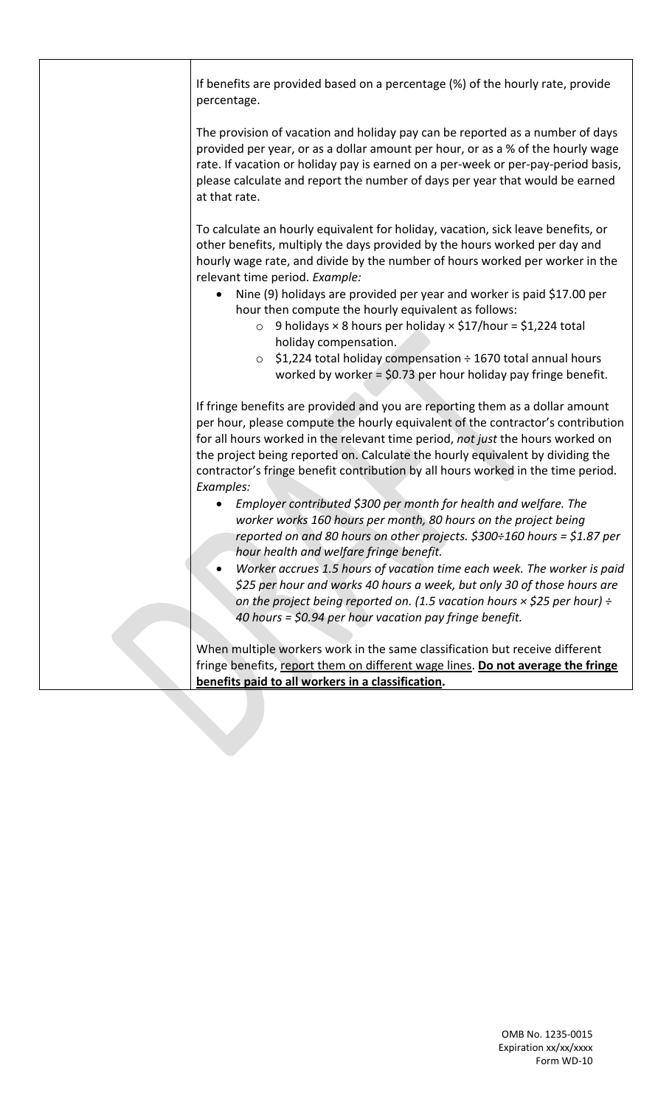|  | If benefits are provided based on a percentage (%) of the hourly rate, provide<br>percentage.                                                                                                                                                                                                                                                                                                                                         |
|--|---------------------------------------------------------------------------------------------------------------------------------------------------------------------------------------------------------------------------------------------------------------------------------------------------------------------------------------------------------------------------------------------------------------------------------------|
|  | The provision of vacation and holiday pay can be reported as a number of days<br>provided per year, or as a dollar amount per hour, or as a % of the hourly wage<br>rate. If vacation or holiday pay is earned on a per-week or per-pay-period basis,<br>please calculate and report the number of days per year that would be earned<br>at that rate.                                                                                |
|  | To calculate an hourly equivalent for holiday, vacation, sick leave benefits, or<br>other benefits, multiply the days provided by the hours worked per day and<br>hourly wage rate, and divide by the number of hours worked per worker in the<br>relevant time period. Example:                                                                                                                                                      |
|  | Nine (9) holidays are provided per year and worker is paid \$17.00 per<br>hour then compute the hourly equivalent as follows:<br>9 holidays $\times$ 8 hours per holiday $\times$ \$17/hour = \$1,224 total<br>$\circ$                                                                                                                                                                                                                |
|  | holiday compensation.<br>\$1,224 total holiday compensation ÷ 1670 total annual hours<br>$\circ$<br>worked by worker = \$0.73 per hour holiday pay fringe benefit.                                                                                                                                                                                                                                                                    |
|  | If fringe benefits are provided and you are reporting them as a dollar amount<br>per hour, please compute the hourly equivalent of the contractor's contribution<br>for all hours worked in the relevant time period, not just the hours worked on<br>the project being reported on. Calculate the hourly equivalent by dividing the<br>contractor's fringe benefit contribution by all hours worked in the time period.<br>Examples: |
|  | Employer contributed \$300 per month for health and welfare. The<br>worker works 160 hours per month, 80 hours on the project being<br>reported on and 80 hours on other projects. \$300÷160 hours = \$1.87 per<br>hour health and welfare fringe benefit.                                                                                                                                                                            |
|  | Worker accrues 1.5 hours of vacation time each week. The worker is paid<br>\$25 per hour and works 40 hours a week, but only 30 of those hours are<br>on the project being reported on. (1.5 vacation hours $\times$ \$25 per hour) ÷<br>40 hours = \$0.94 per hour vacation pay fringe benefit.                                                                                                                                      |
|  | When multiple workers work in the same classification but receive different<br>fringe benefits, report them on different wage lines. Do not average the fringe<br>benefits paid to all workers in a classification.                                                                                                                                                                                                                   |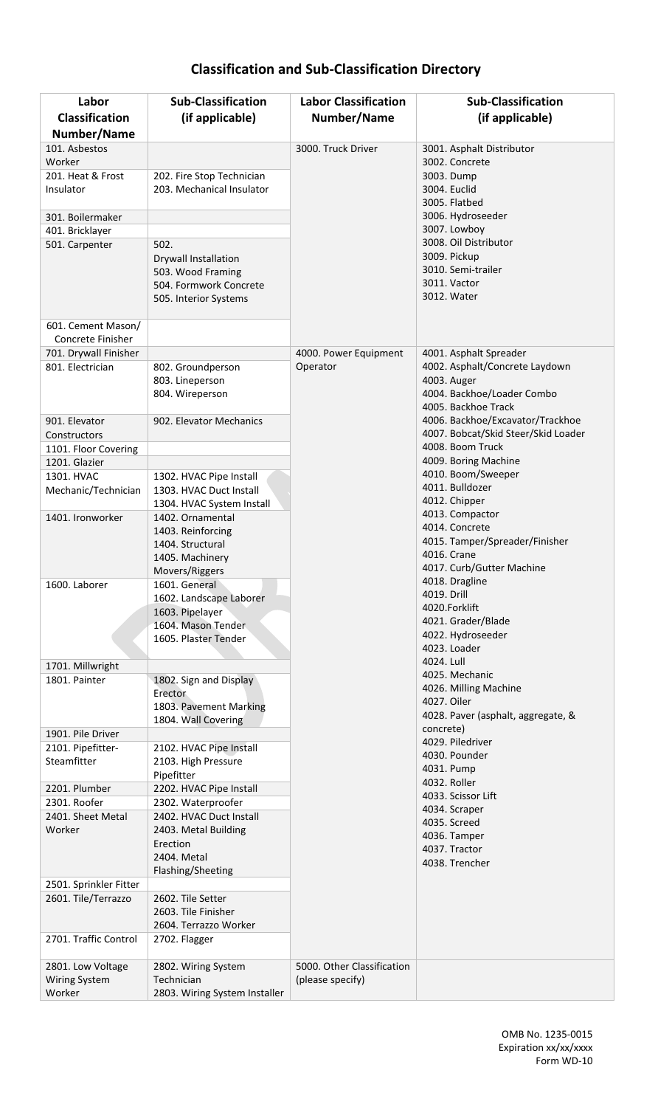## **Classification and Sub-Classification Directory**

| Labor<br><b>Classification</b> | <b>Sub-Classification</b>                       | <b>Labor Classification</b><br>Number/Name | <b>Sub-Classification</b>                 |
|--------------------------------|-------------------------------------------------|--------------------------------------------|-------------------------------------------|
| Number/Name                    | (if applicable)                                 |                                            | (if applicable)                           |
| 101. Asbestos                  |                                                 | 3000. Truck Driver                         | 3001. Asphalt Distributor                 |
| Worker                         |                                                 |                                            | 3002. Concrete                            |
| 201. Heat & Frost              | 202. Fire Stop Technician                       |                                            | 3003. Dump                                |
| Insulator                      | 203. Mechanical Insulator                       |                                            | 3004. Euclid<br>3005. Flatbed             |
| 301. Boilermaker               |                                                 |                                            | 3006. Hydroseeder                         |
| 401. Bricklayer                |                                                 |                                            | 3007. Lowboy                              |
| 501. Carpenter                 | 502.                                            |                                            | 3008. Oil Distributor                     |
|                                | Drywall Installation                            |                                            | 3009. Pickup                              |
|                                | 503. Wood Framing                               |                                            | 3010. Semi-trailer                        |
|                                | 504. Formwork Concrete                          |                                            | 3011. Vactor<br>3012. Water               |
|                                | 505. Interior Systems                           |                                            |                                           |
| 601. Cement Mason/             |                                                 |                                            |                                           |
| Concrete Finisher              |                                                 |                                            |                                           |
| 701. Drywall Finisher          |                                                 | 4000. Power Equipment                      | 4001. Asphalt Spreader                    |
| 801. Electrician               | 802. Groundperson                               | Operator                                   | 4002. Asphalt/Concrete Laydown            |
|                                | 803. Lineperson                                 |                                            | 4003. Auger<br>4004. Backhoe/Loader Combo |
|                                | 804. Wireperson                                 |                                            | 4005. Backhoe Track                       |
| 901. Elevator                  | 902. Elevator Mechanics                         |                                            | 4006. Backhoe/Excavator/Trackhoe          |
| Constructors                   |                                                 |                                            | 4007. Bobcat/Skid Steer/Skid Loader       |
| 1101. Floor Covering           |                                                 |                                            | 4008. Boom Truck                          |
| 1201. Glazier                  |                                                 |                                            | 4009. Boring Machine                      |
| 1301. HVAC                     | 1302. HVAC Pipe Install                         |                                            | 4010. Boom/Sweeper                        |
| Mechanic/Technician            | 1303. HVAC Duct Install                         |                                            | 4011. Bulldozer<br>4012. Chipper          |
| 1401. Ironworker               | 1304. HVAC System Install                       |                                            | 4013. Compactor                           |
|                                | 1402. Ornamental<br>1403. Reinforcing           |                                            | 4014. Concrete                            |
|                                | 1404. Structural                                |                                            | 4015. Tamper/Spreader/Finisher            |
|                                | 1405. Machinery                                 |                                            | 4016. Crane                               |
|                                | Movers/Riggers                                  |                                            | 4017. Curb/Gutter Machine                 |
| 1600. Laborer                  | 1601. General                                   |                                            | 4018. Dragline<br>4019. Drill             |
|                                | 1602. Landscape Laborer                         |                                            | 4020.Forklift                             |
|                                | 1603. Pipelayer<br>1604. Mason Tender           |                                            | 4021. Grader/Blade                        |
|                                | 1605. Plaster Tender                            |                                            | 4022. Hydroseeder                         |
|                                |                                                 |                                            | 4023. Loader                              |
| 1701. Millwright               |                                                 |                                            | 4024. Lull                                |
| 1801. Painter                  | 1802. Sign and Display                          |                                            | 4025. Mechanic<br>4026. Milling Machine   |
|                                | Erector                                         |                                            | 4027. Oiler                               |
|                                | 1803. Pavement Marking<br>1804. Wall Covering   |                                            | 4028. Paver (asphalt, aggregate, &        |
| 1901. Pile Driver              |                                                 |                                            | concrete)                                 |
| 2101. Pipefitter-              | 2102. HVAC Pipe Install                         |                                            | 4029. Piledriver                          |
| Steamfitter                    | 2103. High Pressure                             |                                            | 4030. Pounder                             |
|                                | Pipefitter                                      |                                            | 4031. Pump<br>4032. Roller                |
| 2201. Plumber                  | 2202. HVAC Pipe Install                         |                                            | 4033. Scissor Lift                        |
| 2301. Roofer                   | 2302. Waterproofer                              |                                            | 4034. Scraper                             |
| 2401. Sheet Metal<br>Worker    | 2402. HVAC Duct Install<br>2403. Metal Building |                                            | 4035. Screed                              |
|                                | Erection                                        |                                            | 4036. Tamper                              |
|                                | 2404. Metal                                     |                                            | 4037. Tractor                             |
|                                | Flashing/Sheeting                               |                                            | 4038. Trencher                            |
| 2501. Sprinkler Fitter         |                                                 |                                            |                                           |
| 2601. Tile/Terrazzo            | 2602. Tile Setter                               |                                            |                                           |
|                                | 2603. Tile Finisher                             |                                            |                                           |
| 2701. Traffic Control          | 2604. Terrazzo Worker                           |                                            |                                           |
|                                | 2702. Flagger                                   |                                            |                                           |
| 2801. Low Voltage              | 2802. Wiring System                             | 5000. Other Classification                 |                                           |
| <b>Wiring System</b>           | Technician                                      | (please specify)                           |                                           |
| Worker                         | 2803. Wiring System Installer                   |                                            |                                           |